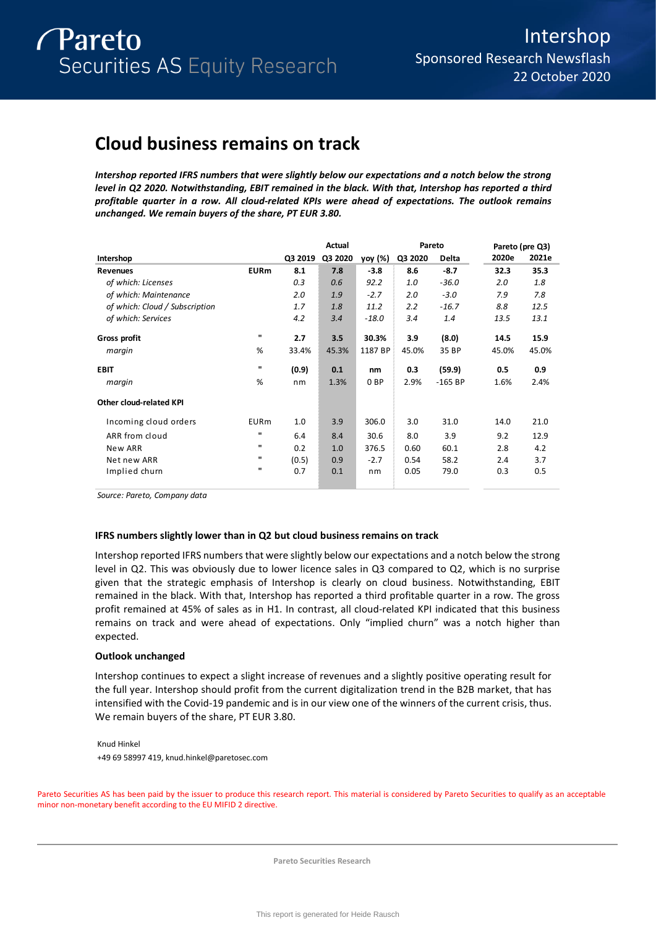# **Cloud business remains on track**

*Intershop reported IFRS numbers that were slightly below our expectations and a notch below the strong level in Q2 2020. Notwithstanding, EBIT remained in the black. With that, Intershop has reported a third profitable quarter in a row. All cloud-related KPIs were ahead of expectations. The outlook remains unchanged. We remain buyers of the share, PT EUR 3.80.* 

|                                |              |         | Actual  |                 |         | Pareto    | Pareto (pre Q3) |       |
|--------------------------------|--------------|---------|---------|-----------------|---------|-----------|-----------------|-------|
| Intershop                      |              | Q3 2019 | Q3 2020 | yoy (%)         | Q3 2020 | Delta     | 2020e           | 2021e |
| <b>Revenues</b>                | <b>EURm</b>  | 8.1     | 7.8     | $-3.8$          | 8.6     | $-8.7$    | 32.3            | 35.3  |
| of which: Licenses             |              | 0.3     | 0.6     | 92.2            | 1.0     | $-36.0$   | 2.0             | 1.8   |
| of which: Maintenance          |              | 2.0     | 1.9     | $-2.7$          | 2.0     | $-3.0$    | 7.9             | 7.8   |
| of which: Cloud / Subscription |              | 1.7     | 1.8     | 11.2            | 2.2     | $-16.7$   | 8.8             | 12.5  |
| of which: Services             |              | 4.2     | 3.4     | $-18.0$         | 3.4     | 1.4       | 13.5            | 13.1  |
| Gross profit                   | $\mathbf{u}$ | 2.7     | 3.5     | 30.3%           | 3.9     | (8.0)     | 14.5            | 15.9  |
| margin                         | %            | 33.4%   | 45.3%   | 1187 BP         | 45.0%   | 35 BP     | 45.0%           | 45.0% |
| <b>EBIT</b>                    | ш            | (0.9)   | 0.1     | nm              | 0.3     | (59.9)    | 0.5             | 0.9   |
| margin                         | %            | nm      | 1.3%    | 0 <sub>BP</sub> | 2.9%    | $-165$ BP | 1.6%            | 2.4%  |
| <b>Other cloud-related KPI</b> |              |         |         |                 |         |           |                 |       |
| Incoming cloud orders          | <b>EURm</b>  | 1.0     | 3.9     | 306.0           | 3.0     | 31.0      | 14.0            | 21.0  |
| ARR from cloud                 | $\mathbf{u}$ | 6.4     | 8.4     | 30.6            | 8.0     | 3.9       | 9.2             | 12.9  |
| New ARR                        | п            | 0.2     | 1.0     | 376.5           | 0.60    | 60.1      | 2.8             | 4.2   |
| Net new ARR                    | ш            | (0.5)   | 0.9     | $-2.7$          | 0.54    | 58.2      | 2.4             | 3.7   |
| Implied churn                  | $\mathbf{u}$ | 0.7     | 0.1     | nm              | 0.05    | 79.0      | 0.3             | 0.5   |

*Source: Pareto, Company data*

## **IFRS numbers slightly lower than in Q2 but cloud business remains on track**

Intershop reported IFRS numbers that were slightly below our expectations and a notch below the strong level in Q2. This was obviously due to lower licence sales in Q3 compared to Q2, which is no surprise given that the strategic emphasis of Intershop is clearly on cloud business. Notwithstanding, EBIT remained in the black. With that, Intershop has reported a third profitable quarter in a row. The gross profit remained at 45% of sales as in H1. In contrast, all cloud-related KPI indicated that this business remains on track and were ahead of expectations. Only "implied churn" was a notch higher than expected.

## **Outlook unchanged**

Intershop continues to expect a slight increase of revenues and a slightly positive operating result for the full year. Intershop should profit from the current digitalization trend in the B2B market, that has intensified with the Covid-19 pandemic and is in our view one of the winners of the current crisis, thus. We remain buyers of the share, PT EUR 3.80.

Knud Hinkel +49 69 58997 419, knud.hinkel@paretosec.com

Pareto Securities AS has been paid by the issuer to produce this research report. This material is considered by Pareto Securities to qualify as an acceptable minor non-monetary benefit according to the EU MIFID 2 directive.

**Pareto Securities Research**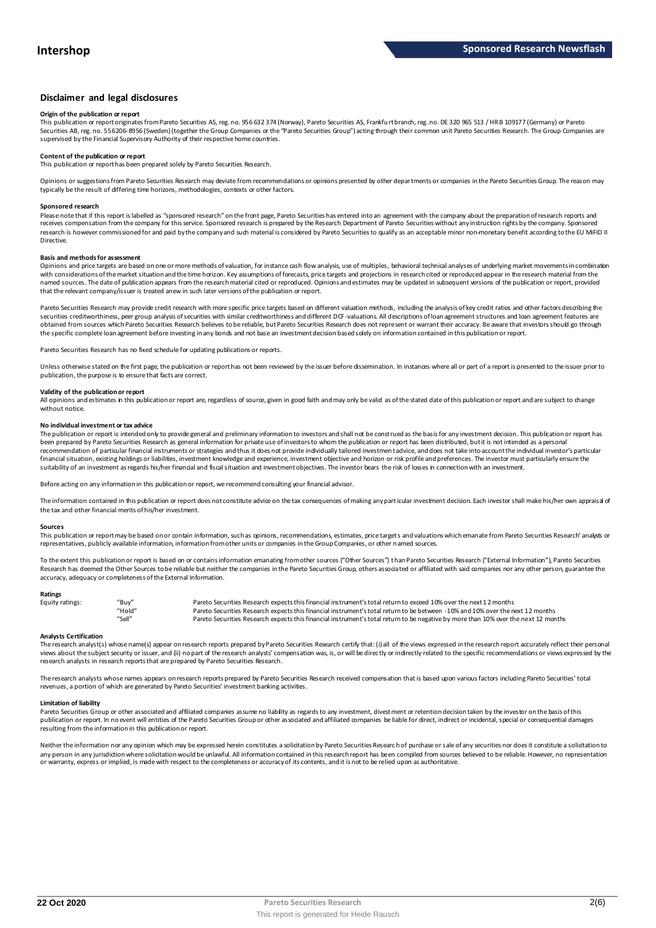## **Disclaimer and legal disclosures**

#### **Origin of the publication or report**

This publication or report originates from Pareto Securities AS, reg. no. 956 632 374 (Norway), Pareto Securities AS, Frankfu rt branch, reg. no. DE 320 965 513 / HR B 109177 (Germany) or Pareto Securities AB, reg. no. 556206-8956 (Sweden) (together the Group Companies or the "Pareto Securities Group") acting through their common unit Pareto Securities Research. The Group Companies are<br>supervised by the Financial

## **Content of the publication or report**

This publication or report has been prepared solely by Pareto Securities Research.

Opinions or suggestions from Pareto Securities Research may deviate from recommendations or opinions presented by other departments or companies in the Pareto Securities Group. The reason may typically be the result of differing time horizons, methodologies, contexts or other factors.

#### **Sponsored research**

Please note that if this report is labelled as "sponsored research" on the front page, Pareto Securities has entered into an agreement with the company about the preparation of research reports and<br>receives compensation fr research is however commissioned for and paid by the company and such material is considered by Pareto Securities to qualify as an acceptable minor non-monetary benefit according to the EU MiFID II **Directive** 

#### **Basis and methods for assessment**

Opinions and price targets are based on one or more methods of valuation, for instance cash flow analysis, use of multiples, behavioral technical analyses of underlying market movements in combination with considerations of the market situation and the time horizon. Key assumptions of forecasts, price targets and projections in research cited or reproduced appear in the research material from the named sources. The date of publication appears from the research material cited or reproduced. Opinions and estimates may be updated in subsequent versions of the publication or report, provided that the relevant company/issuer is treated anew in such later versions of the publication or report.

Pareto Securities Research may provide credit research with more specific price targets based on different valuation methods, including the analysis of key credit ratios and other factors describing the securities creditworthiness, peer group analysis of securities with similar creditworthiness and different DCF-valuations. All descriptions of loan agreement structures and loan agreement features are obtained from sources which Pareto Securities Research believes to be reliable, but Pareto Securities Research does not represent or warrant their accuracy. Be aware that investors should go through the specific complete loan agreement before investing in any bonds and not base an investment decision based solely on information contained in this publication or report.

Pareto Securities Research has no fixed schedule for updating publications or reports.

Unless otherwise stated on the first page, the publication or report has not been reviewed by the issuer before dissemination. In instances where all or part of a report is presented to the issuer prior to publication, the purpose is to ensure that facts are correct.

## **Validity of the publication or report**

All opinions and estimates in this publication or report are, regardless of source, given in good faith and may only be valid as of the stated date of this publication or report and are subject to change without notice

#### **No individual investment or tax advice**

The publication or report is intended only to provide general and preliminary information to investors and shall not be construed as the basis for any investment decision. This publication or report has been prepared by Pareto Securities Research as general information for private use of investors to whom the publication or report has been distributed, but it is not intended as a personal recommendation of particular financial instruments or strategies and thus it does not provide individually tailored investmen t advice, and does not take into account the individual investor's particular financial situation, existing holdings or liabilities, investment knowledge and experience, investment objective and horizon or risk profile and preferences. The investor must particularly ensure the suitability of an investment as regards his/her financial and fiscal situation and investment objectives. The investor bears the risk of losses in connection with an investment.

Before acting on any information in this publication or report, we recommend consulting your financial advisor.

The information contained in this publication or report does not constitute advice on the tax consequences of making any particular investment decision. Each investor shall make his/her own appraisal of the tax and other financial merits of his/her investment.

#### **Sources**

This publication or report may be based on or contain information, such as opinions, recommendations, estimates, price targets and valuations which emanate from Pareto Securities Research' analysts or representatives, publicly available information, information from other units or companies in the Group Companies, or other named sources.

To the extent this publication or report is based on or contains information emanating from other sources ("Other Sources") than Pareto Securities Research ("External Information"), Pareto Securities Research has deemed the Other Sources to be reliable but neither the companies in the Pareto Securities Group, others associated or affiliated with said companies nor any other person, guarantee the accuracy, adequacy or completeness of the External Information.

#### **Ratings**

| Equity ratings: | "Buy"  | Pareto Securities Research expects this financial instrument's total return to exceed 10% over the next 12 months                   |
|-----------------|--------|-------------------------------------------------------------------------------------------------------------------------------------|
|                 | "Hold" | Pareto Securities Research expects this financial instrument's total return to be between -10% and 10% over the next 12 months      |
|                 | "Sell" | Pareto Securities Research expects this financial instrument's total return to be negative by more than 10% over the next 12 months |

**Analysts Certification**<br>The research analystis) whose name(s) appear on research reports prepared by Pareto Securities Research certify that: (i) all of the views expressed in the research report accurately reflect their "Hold"<br>"Sell" Pareto Securities Research expects this financial instrument's total return to be between -10% and 10% over the next 12 months<br>"Sell" Pareto Securities Research expects this financial instrument's total retur research analysts in research reports that are prepared by Pareto Securities Research.

The research analysts whose names appears on research reports prepared by Pareto Securities Research received compensation that is based upon various factors including Pareto Securities' total revenues, a portion of which are generated by Pareto Securities' investment banking activities.

#### **Limitation of liability**

Pareto Securities Group or other associated and affiliated companies assume no liability as regards to any investment, divest ment or retention decision taken by the investor on the basis of this publication or report. In no event will entities of the Pareto Securities Group or other associated and affiliated companies be liable for direct, indirect or incidental, special or consequential damages resulting from the information in this publication or report.

Neither the information nor any opinion which may be expressed herein constitutes a solicitation by Pareto Securities Research of purchase or sale of any securities nor does it constitute a solicitation to any person in any jurisdiction where solicitation would be unlawful. All information contained in this research report has been compiled from sources believed to be reliable. However, no representation or warranty, express or implied, is made with respect to the completeness or accuracy of its contents, and it is not to be relied upon as authoritative.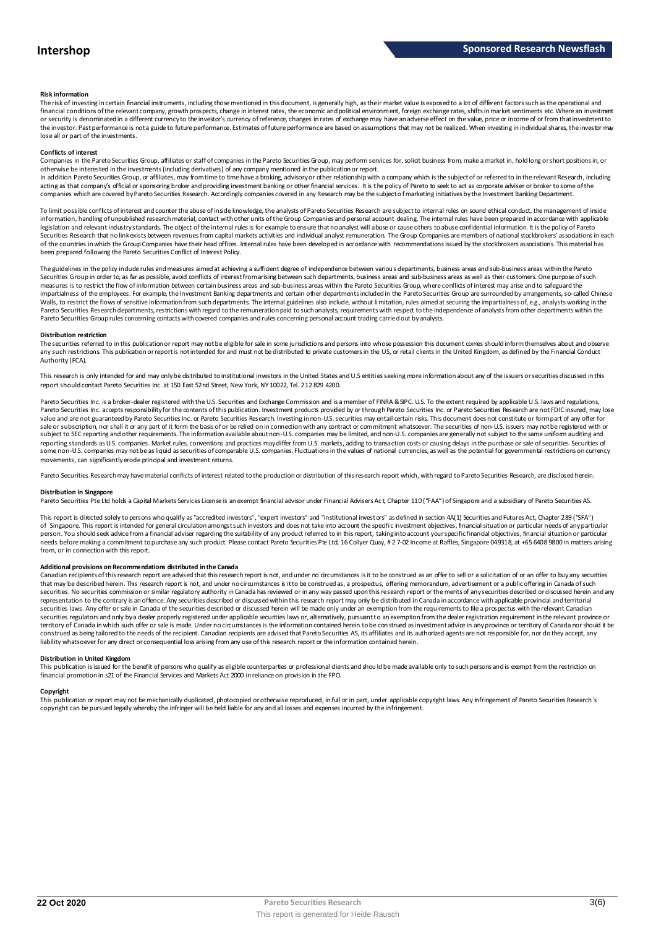#### **Risk information**

The risk of investing in certain financial instruments, including those mentioned in this document, is generally high, as their market value is exposed to a lot of different factors such as the operational and financial conditions of the relevant company, growth prospects, change in interest rates, the economic and political environment, foreign exchange rates, shifts in market sentiments etc. Where an investment or security is denominated in a different currency to the investor's currency of reference, changes in rates of exchange may have an adverse effect on the value, price or income of or from that investment to the investor. Past performance is not a guide to future performance. Estimates of future performance are based on assumptions that may not be realized. When investing in individual shares, the investor may lose all or part of the investments.

#### **Conflicts of interest**

Companies in the Pareto Securities Group, affiliates or staff of companies in the Pareto Securities Group, may perform services for, solicit business from, make a market in, hold long or short positions in, or otherwise be interested in the investments (including derivatives) of any company mentioned in the publication or report.<br>In addition Pareto Securities Group, or affiliates, may from time to time have a broking, advisory o

acting as that company's official or sponsoring broker and providing investment banking or other financial services. It is the policy of Pareto to seek to act as corporate adviser or broker to some of the companies which are covered by Pareto Securities Research. Accordingly companies covered in any Research may be the subject o f marketing initiatives by the Investment Banking Department.

To limit possible conflicts of interest and counter the abuse of inside knowledge, the analysts of Pareto Securities Research are subject to internal rules on sound ethical conduct, the management of inside information, handling of unpublished research material, contact with other units of the Group Companies and personal account dealing. The internal rules have been prepared in accordance with applicable legislation and relevant industry standards. The object of the internal rules is for example to ensure that no analyst will abuse or cause others to abuse confidential information. It is the policy of Pareto Securities Research that no link exists between revenues from capital markets activities and individual analyst remuneration. The Group Companies are members of national stockbrokers' associations in each of the countries in which the Group Companies have their head offices. Internal rules have been developed in accordance with recommendations issued by the stockbrokers associations. This material has been prepared following the Pareto Securities Conflict of Interest Policy.

The guidelines in the policy indude rules and measures aimed at achieving a sufficient degree of independence between various departments, business areas and sub-business areas within the Pareto Securities Group in order to, as far as possible, avoid conflicts of interest from arising between such departments, business areas and sub-business areas as well as their customers. One purpose of such measures is to restrict the flow of information between certain business areas and sub-business areas within the Pareto Securities Group, where conflicts of interest may arise and to safeguard the inpartialness of the empl The guidelines in the policy indude rules and measures aimed at achieving a sufficient degree of independence between various departments, business areas and sub-business areas and sub-business areas within the Pareto Secu Pareto Securities Group rules concerning contacts with covered companies and rules concerning personal account trading carried out by analysts.

#### **Distribution restriction**

The securities referred to in this publication or report may not be eligible for sale in some jurisdictions and persons into whose possession this document comes should inform themselves about and observe Pareto Securities Group rules concerning contacts with covered companies and rules concerning personal account trading carried out by analysts.<br>Distribution restriction<br>The securities referred to in this publication or rep Authority (FCA).

This research is only intended for and may only be distributed to institutional investors in the United States and U.S entities seeking more information about any of the issuers or securities discussed in this report should contact Pareto Securities Inc. at 150 East 52nd Street, New York, NY 10022, Tel. 212 829 4200.

Pareto Securities Inc. is a broker-dealer registered with the U.S. Securities and Exchange Commission and is a member of FINRA & SIPC. U.S. To the extent required by applicable U.S. laws and regulations, Pareto Securities Inc. accepts responsibilityfor the contents of this publication. Investment products provided by or through Pareto Securities Inc. or Pareto Securities Research are not FDIC insured, may lose<br>value and ar sale or subscription, nor shall it or any part of it form the basis of or be relied on in connection with any contract or commitment whatsoever. The securities of non-U.S. issuers may not be registered with or<br>subject to S reporting standards as U.S. companies. Market rules, conventions and practices may differ from U.S. markets, adding to transaction costs or causing delays in the purchase or sale of securities. Securities of some non-U.S. companies may not be as liquid as securities of comparable U.S. companies. Fluctuations in the values of national currencies, as well as the potential for governmental restrictions on currency movements, can significantly erode principal and investment returns.

Pareto Securities Research may have material conflicts of interest related to the production or distribution of this research report which, with regard to Pareto Securities Research, are disclosed herein.

#### **Distribution in Singapore**

Pareto Securities Pte Ltd holds a Capital Markets Services License is an exempt financial advisor under Financial Advisers Ac t, Chapter 110 ("FAA") of Singapore and a subsidiary of Pareto Securities AS.

This report is directed solely to persons who qualify as "accredited investors", "expert investors" and "institutional investors" as defined in section 4A(1) Securities and Futures Act, Chapter 289 ("SFA") **Distribution in Singapore**<br>Pareto Securities Pte Ltd holds a Capital Markets Services License is an exempt financial advisor under Financial Advisers Act, Chapter 110 ("FAA") of Singapore and a subsidiary of Pareto Securi person. You should seek advice from a financial adviser regarding the suitability of any product referred to in this report, taking into account your specific financial objectives, financial situation or particular<br>needs b from, or in connection with this report.

#### **Additional provisions on Recommendations distributed in the Canada**

needs before making a commitment to purchase any such product. Please contact Pareto Securities Pte Ltd, 16 Collyer Quay, # 2 7-02 Income at Raffles, Singapore 049318, at +65 6408 9800 in matters arisin<br>from, or in connect that may be described herein. This research report is not, and under no circumstances is it to be construed as, a prospectus, offering memorandum, advertisement or a public offering in Canada of such securities commission representation to the contrary is an offence. Any securities described or discussed within this research report may only be distributed in Canada in accordance with applicable provincial and territorial securities laws. Any offer or sale in Canada of the securities described or discussed herein will be made only under an exemption from the requirements to file a prospectus with the relevant Canadian securities regulators and only bya dealer properly registered under applicable securities laws or, alternatively, pursuant to an exemption from the dealer registration requirement in the relevant province or<br>territory of C construed as being tailored to the needs of the recipient. Canadian recipients are advised that Pareto Securities AS, its affiliates and its authorized agents are not responsible for, nor do they accept, any liability whatsoever for any direct or consequential loss arising from any use of this research report or the information contained herein.

#### **Distribution in United Kingdom**

financial promotion in s21 of the Financial Services and Markets Act 2000 in reliance on provision in the FPO.

This publication is issued for the benefit of persons who qualify as eligible counterparties or professional dients and should be made available only to such persons and is exempt from the restriction on<br>financial promotio **Copyright**<br>This publication or report may not be mechanically duplicated, photocopied or otherwise reproduced, in full or in part, under applicable copyright laws. Any infringement of Pareto Securities Research's copyright can be pursued legally whereby the infringer will be held liable for any and all losses and expenses incurred by the infringement.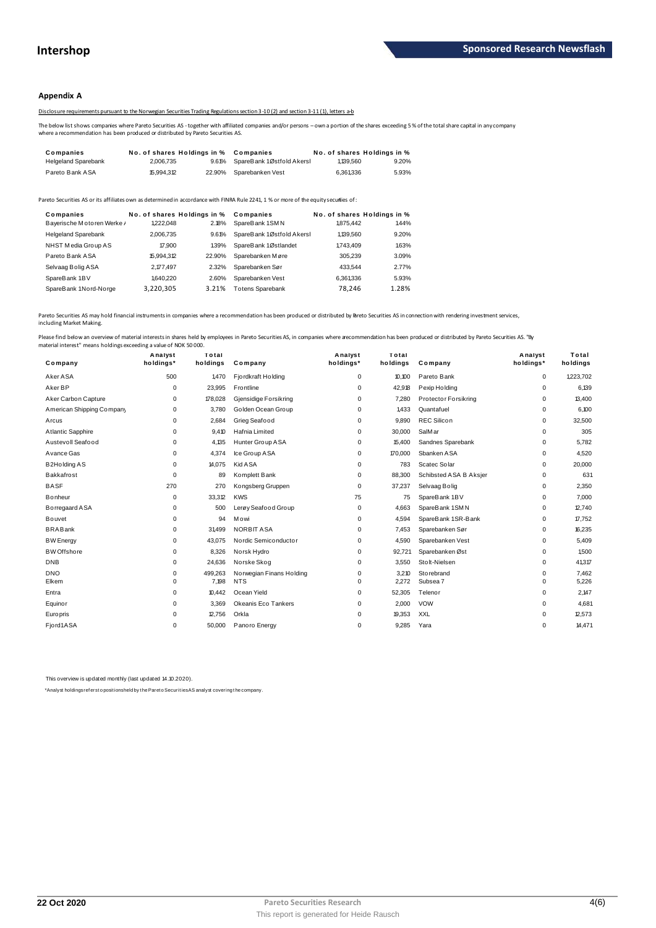## **Appendix A**

Disclosure requirements pursuant to the Norwegian Securities Trading Regulations section 3-10 (2) and section 3-11 (1), letters a-b

The below list shows companies where Pareto Securities AS - together with affiliated companies and/or persons – own a portion of the shares exceeding 5 % of the total share capital in any company<br>where a recommendation has

|                                                                                                                                                                                                                                             |                             |        | 2012 DISClOSURE Requirements bursuant to the Norwegian Securities Trading Regulations section 3-10(2) and section 3-11(1). Jetters a-b |           |                             |  |  |
|---------------------------------------------------------------------------------------------------------------------------------------------------------------------------------------------------------------------------------------------|-----------------------------|--------|----------------------------------------------------------------------------------------------------------------------------------------|-----------|-----------------------------|--|--|
| The below list shows companies where Pareto Securities AS - together with affiliated companies and/or persons - own a portion of the shares exceeding 5<br>where a recommendation has been produced or distributed by Pareto Securities AS. |                             |        |                                                                                                                                        |           |                             |  |  |
| Companies                                                                                                                                                                                                                                   | No. of shares Holdings in % |        | Companies                                                                                                                              |           | No. of shares Holdings in % |  |  |
| <b>Helgeland Sparebank</b>                                                                                                                                                                                                                  | 2.006.735                   | 9.61%  | SpareBank 1Østfold Akersh                                                                                                              | 1.139.560 | 9.20%                       |  |  |
| Pareto Bank ASA                                                                                                                                                                                                                             | 15.994.312                  | 22.90% | Sparebanken Vest                                                                                                                       | 6.361.336 | 5.93%                       |  |  |

| <b>I GIGIU DAIIN AUA</b>                                                                                                            | N.JJT.J K  | 22.JU 70                    | <b>UDCILCUCIINGII V COL</b> | טטטו טטיט | <u>J.JJ70</u>               |
|-------------------------------------------------------------------------------------------------------------------------------------|------------|-----------------------------|-----------------------------|-----------|-----------------------------|
| areto Securities AS or its affiliates own as determined in accordance with FINRA Rule 2241, 1 % or more of the equity securiies of: |            |                             |                             |           |                             |
| Companies                                                                                                                           |            | No. of shares Holdings in % | Companies                   |           | No. of shares Holdings in % |
| Bayerische Motoren Werke /                                                                                                          | 1222.048   | 2.18%                       | SpareBank 1SMN              | 1.875.442 | 1.44%                       |
| <b>Helgeland Sparebank</b>                                                                                                          | 2.006.735  | 9.61%                       | SpareBank 1Østfold Akersl   | 1,139,560 | 9.20%                       |
| NHST Media Group AS                                                                                                                 | 17,900     | 1.39%                       | SpareBank 1Østlandet        | 1743.409  | 1.63%                       |
| Pareto Bank ASA                                                                                                                     | 15.994.312 | 22.90%                      | Sparebanken Møre            | 305.239   | 3.09%                       |
| Selvaag Bolig ASA                                                                                                                   | 2,177,497  | 2.32%                       | Sparebanken Sør             | 433.544   | 2.77%                       |
| SpareBank 1BV                                                                                                                       | 1,640.220  | 2.60%                       | Sparebanken Vest            | 6,361,336 | 5.93%                       |
| SpareBank 1Nord-Norge                                                                                                               | 3,220,305  | 3.21%                       | <b>Totens Sparebank</b>     | 78.246    | 1.28%                       |
|                                                                                                                                     |            |                             |                             |           |                             |

Pareto Securities AS may hold financial instruments in companies where a recommendation has been produced or distributed by Breto Securities AS in connection with rendering investment services, including Market Making.

| Company                   | Analyst<br>holdings* | Total<br>holdings | Company                  | Analyst<br>holdings* | Total<br>holdings | Company                | Analyst<br>holdings* | Total<br>holdings |
|---------------------------|----------------------|-------------------|--------------------------|----------------------|-------------------|------------------------|----------------------|-------------------|
| Aker ASA                  | 500                  | 1,470             | Fjordkraft Holding       | $\mathbf 0$          | 10,100            | Pareto Bank            | $\mathbf 0$          | 1,223,702         |
| Aker BP                   | 0                    | 23,995            | Frontline                | 0                    | 42,918            | Pexip Holding          | 0                    | 6,139             |
| Aker Carbon Capture       | 0                    | 178,028           | Gjensidige Forsikring    | 0                    | 7.280             | Protector Forsikring   | 0                    | 13,400            |
| American Shipping Company | 0                    | 3,780             | Golden Ocean Group       | 0                    | 1,433             | Quantafuel             | 0                    | 6,100             |
| Arcus                     | 0                    | 2,684             | Grieg Seafood            | 0                    | 9,890             | <b>REC Silicon</b>     | 0                    | 32,500            |
| Atlantic Sapphire         | 0                    | 9,410             | Hafnia Limited           | 0                    | 30,000            | SalM ar                | 0                    | 305               |
| Austevoll Seafood         | 0                    | 4.135             | Hunter Group ASA         | 0                    | 15,400            | Sandnes Sparebank      | 0                    | 5,782             |
| Avance Gas                | 0                    | 4.374             | Ice Group ASA            | 0                    | 170,000           | Sbanken ASA            | 0                    | 4,520             |
| <b>B2Holding AS</b>       | 0                    | 14,075            | <b>Kid ASA</b>           | 0                    | 783               | Scatec Solar           | 0                    | 20,000            |
| Bakkafrost                | 0                    | 89                | Komplett Bank            | 0                    | 88,300            | Schibsted ASA B Aksjer | 0                    | 631               |
| <b>BASF</b>               | 270                  | 270               | Kongsberg Gruppen        | 0                    | 37,237            | Selvaag Bolig          | 0                    | 2,350             |
| Bonheur                   | 0                    | 33,312            | <b>KWS</b>               | 75                   | 75                | SpareBank 1BV          | 0                    | 7,000             |
| Borregaard ASA            | 0                    | 500               | Lerøy Seafood Group      | 0                    | 4,663             | SpareBank 1SMN         | 0                    | 12.740            |
| <b>Bouvet</b>             | 0                    | 94                | Mowi                     | 0                    | 4,594             | SpareBank 1SR-Bank     | 0                    | 17,752            |
| <b>BRABank</b>            | 0                    | 31499             | <b>NORBIT ASA</b>        | 0                    | 7,453             | Sparebanken Sør        | 0                    | 16,235            |
| <b>BW</b> Energy          | $\Omega$             | 43,075            | Nordic Semiconductor     | 0                    | 4,590             | Sparebanken Vest       | 0                    | 5,409             |
| <b>BW</b> Offshore        | 0                    | 8,326             | Norsk Hydro              | 0                    | 92,721            | Sparebanken Øst        | 0                    | 1.500             |
| <b>DNB</b>                | 0                    | 24,636            | Norske Skog              | 0                    | 3,550             | Stolt-Nielsen          | 0                    | 41,317            |
| <b>DNO</b>                | 0                    | 499,263           | Norwegian Finans Holding | 0                    | 3,210             | Storebrand             | 0                    | 7,462             |
| Elkem                     | 0                    | 7,198             | <b>NTS</b>               | 0                    | 2,272             | Subsea 7               | 0                    | 5,226             |
| Entra                     | 0                    | 10.442            | Ocean Yield              | 0                    | 52,305            | Telenor                | 0                    | 2,147             |
| Equinor                   | 0                    | 3,369             | Okeanis Eco Tankers      | 0                    | 2,000             | <b>VOW</b>             | 0                    | 4,681             |
| Europris                  | 0                    | 12.756            | Orkla                    | 0                    | 19,353            | <b>XXL</b>             | 0                    | 12,573            |
| Fjord1ASA                 | 0                    | 50,000            | Panoro Energy            | 0                    | 9,285             | Yara                   | 0                    | 14,471            |

This overview is updated monthly (last updated 14.10.2020).

\*Analyst holdings ref ers t o posit ions held by t he Paret o Securit ies AS analyst covering t he company.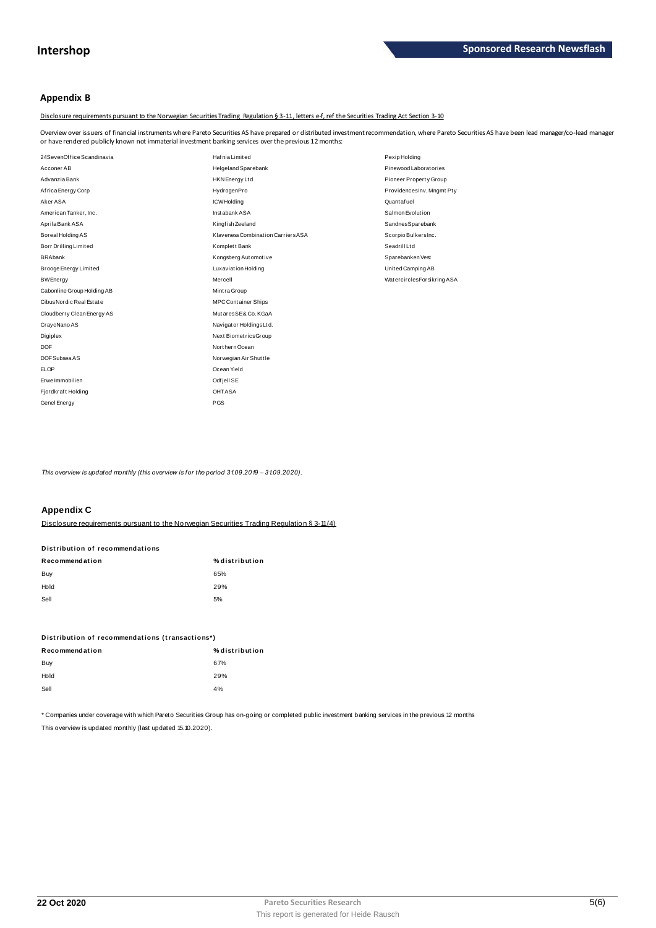## **Appendix B**

Disclosure requirements pursuant to the Norwegian Securities Trading Regulation § 3-11, letters e-f, ref the Securities Trading Act Section 3-10

Overview over issuers of financial instruments where Pareto Securities AS have prepared or distributed investment recommendation, where Pareto Securities AS have been lead manager/co-lead manager<br>or have rendered publicly

| 24SevenOffice Scandinavia<br>Hafnia Limited<br>Pexip Holding<br>Pinewood Laboratories<br>Acconer AB<br>Helgeland Sparebank<br>Advanzia Bank<br>Pioneer Property Group<br>HKN Energy Ltd<br>Africa Energy Corp<br>HydrogenPro<br>ProvidencesInv. Mngmt Pty<br>Aker ASA<br>Quant af uel<br><b>ICWHolding</b><br>Salmon Evolution<br>American Tanker, Inc.<br>Instabank ASA<br>Aprila Bank ASA<br>Kingfish Zeeland<br>SandnesSparebank<br>Klaveness Combination Carriers ASA<br>Boreal Holding AS<br>Scorpio BulkersInc.<br>Seadrill Ltd<br>Borr Drilling Limited<br>Komplett Bank<br><b>BRAbank</b><br>Kongsberg Automotive<br>Sparebanken Vest<br>Brooge Energy Limited<br>Luxaviation Holding<br>United Camping AB<br>Mercell<br><b>BWEnergy</b><br>Watercircles Forsikring ASA<br>Cabonline Group Holding AB<br>Mintra Group<br>Cibus Nordic Real Estate<br><b>MPC Container Ships</b><br>MutaresSE& Co. KGaA<br>Cloudberry Clean Energy AS<br>CrayoNano AS<br>Navigator Holdings Ltd.<br>Next BiometricsGroup<br>Digiplex<br>Northern Ocean<br><b>DOF</b><br>DOF Subsea AS<br>Norwegian Air Shuttle<br><b>ELOP</b><br>Ocean Yield<br>Erwe Immobilien<br>Odfjell SE<br>OHTASA<br>Fjordkraft Holding<br>PGS<br>Genel Energy | or have rendered publicly known not immaterial investment banking services over the previous 12 months: |  |  |  |  |
|-----------------------------------------------------------------------------------------------------------------------------------------------------------------------------------------------------------------------------------------------------------------------------------------------------------------------------------------------------------------------------------------------------------------------------------------------------------------------------------------------------------------------------------------------------------------------------------------------------------------------------------------------------------------------------------------------------------------------------------------------------------------------------------------------------------------------------------------------------------------------------------------------------------------------------------------------------------------------------------------------------------------------------------------------------------------------------------------------------------------------------------------------------------------------------------------------------------------------------|---------------------------------------------------------------------------------------------------------|--|--|--|--|
|                                                                                                                                                                                                                                                                                                                                                                                                                                                                                                                                                                                                                                                                                                                                                                                                                                                                                                                                                                                                                                                                                                                                                                                                                             |                                                                                                         |  |  |  |  |
|                                                                                                                                                                                                                                                                                                                                                                                                                                                                                                                                                                                                                                                                                                                                                                                                                                                                                                                                                                                                                                                                                                                                                                                                                             |                                                                                                         |  |  |  |  |
|                                                                                                                                                                                                                                                                                                                                                                                                                                                                                                                                                                                                                                                                                                                                                                                                                                                                                                                                                                                                                                                                                                                                                                                                                             |                                                                                                         |  |  |  |  |
|                                                                                                                                                                                                                                                                                                                                                                                                                                                                                                                                                                                                                                                                                                                                                                                                                                                                                                                                                                                                                                                                                                                                                                                                                             |                                                                                                         |  |  |  |  |
|                                                                                                                                                                                                                                                                                                                                                                                                                                                                                                                                                                                                                                                                                                                                                                                                                                                                                                                                                                                                                                                                                                                                                                                                                             |                                                                                                         |  |  |  |  |
|                                                                                                                                                                                                                                                                                                                                                                                                                                                                                                                                                                                                                                                                                                                                                                                                                                                                                                                                                                                                                                                                                                                                                                                                                             |                                                                                                         |  |  |  |  |
|                                                                                                                                                                                                                                                                                                                                                                                                                                                                                                                                                                                                                                                                                                                                                                                                                                                                                                                                                                                                                                                                                                                                                                                                                             |                                                                                                         |  |  |  |  |
|                                                                                                                                                                                                                                                                                                                                                                                                                                                                                                                                                                                                                                                                                                                                                                                                                                                                                                                                                                                                                                                                                                                                                                                                                             |                                                                                                         |  |  |  |  |
|                                                                                                                                                                                                                                                                                                                                                                                                                                                                                                                                                                                                                                                                                                                                                                                                                                                                                                                                                                                                                                                                                                                                                                                                                             |                                                                                                         |  |  |  |  |
|                                                                                                                                                                                                                                                                                                                                                                                                                                                                                                                                                                                                                                                                                                                                                                                                                                                                                                                                                                                                                                                                                                                                                                                                                             |                                                                                                         |  |  |  |  |
|                                                                                                                                                                                                                                                                                                                                                                                                                                                                                                                                                                                                                                                                                                                                                                                                                                                                                                                                                                                                                                                                                                                                                                                                                             |                                                                                                         |  |  |  |  |
|                                                                                                                                                                                                                                                                                                                                                                                                                                                                                                                                                                                                                                                                                                                                                                                                                                                                                                                                                                                                                                                                                                                                                                                                                             |                                                                                                         |  |  |  |  |
|                                                                                                                                                                                                                                                                                                                                                                                                                                                                                                                                                                                                                                                                                                                                                                                                                                                                                                                                                                                                                                                                                                                                                                                                                             |                                                                                                         |  |  |  |  |
|                                                                                                                                                                                                                                                                                                                                                                                                                                                                                                                                                                                                                                                                                                                                                                                                                                                                                                                                                                                                                                                                                                                                                                                                                             |                                                                                                         |  |  |  |  |
|                                                                                                                                                                                                                                                                                                                                                                                                                                                                                                                                                                                                                                                                                                                                                                                                                                                                                                                                                                                                                                                                                                                                                                                                                             |                                                                                                         |  |  |  |  |
|                                                                                                                                                                                                                                                                                                                                                                                                                                                                                                                                                                                                                                                                                                                                                                                                                                                                                                                                                                                                                                                                                                                                                                                                                             |                                                                                                         |  |  |  |  |
|                                                                                                                                                                                                                                                                                                                                                                                                                                                                                                                                                                                                                                                                                                                                                                                                                                                                                                                                                                                                                                                                                                                                                                                                                             |                                                                                                         |  |  |  |  |
|                                                                                                                                                                                                                                                                                                                                                                                                                                                                                                                                                                                                                                                                                                                                                                                                                                                                                                                                                                                                                                                                                                                                                                                                                             |                                                                                                         |  |  |  |  |
|                                                                                                                                                                                                                                                                                                                                                                                                                                                                                                                                                                                                                                                                                                                                                                                                                                                                                                                                                                                                                                                                                                                                                                                                                             |                                                                                                         |  |  |  |  |
|                                                                                                                                                                                                                                                                                                                                                                                                                                                                                                                                                                                                                                                                                                                                                                                                                                                                                                                                                                                                                                                                                                                                                                                                                             |                                                                                                         |  |  |  |  |
|                                                                                                                                                                                                                                                                                                                                                                                                                                                                                                                                                                                                                                                                                                                                                                                                                                                                                                                                                                                                                                                                                                                                                                                                                             |                                                                                                         |  |  |  |  |
|                                                                                                                                                                                                                                                                                                                                                                                                                                                                                                                                                                                                                                                                                                                                                                                                                                                                                                                                                                                                                                                                                                                                                                                                                             |                                                                                                         |  |  |  |  |
|                                                                                                                                                                                                                                                                                                                                                                                                                                                                                                                                                                                                                                                                                                                                                                                                                                                                                                                                                                                                                                                                                                                                                                                                                             |                                                                                                         |  |  |  |  |

*This overview is updated monthly (this overview is for the period 31.09.2019 – 31.09.2020).*

## **Appendix C**

| <b>APPVIIVA</b>                                                                            |                |
|--------------------------------------------------------------------------------------------|----------------|
| Disclosure requirements pursuant to the Norwegian Securities Trading Requisition § 3-11(4) |                |
| Distribution of recommendations                                                            |                |
| Recommendation                                                                             | % distribution |
| Buy                                                                                        | 65%            |
| Hold                                                                                       | 29%            |
| Sell                                                                                       | 5%             |

| ---                                             | -              |
|-------------------------------------------------|----------------|
| Distribution of recommendations (transactions*) |                |
| Recommendation                                  | % distribution |
| Buy                                             | 67%            |
| Hold                                            | 29%            |
| Sell                                            | 4%             |
|                                                 |                |

\* Companies under coverage with which Pareto Securities Group has on-going or completed public investment banking services in the previous 12 months This overview is updated monthly (last updated 15.10.2020).